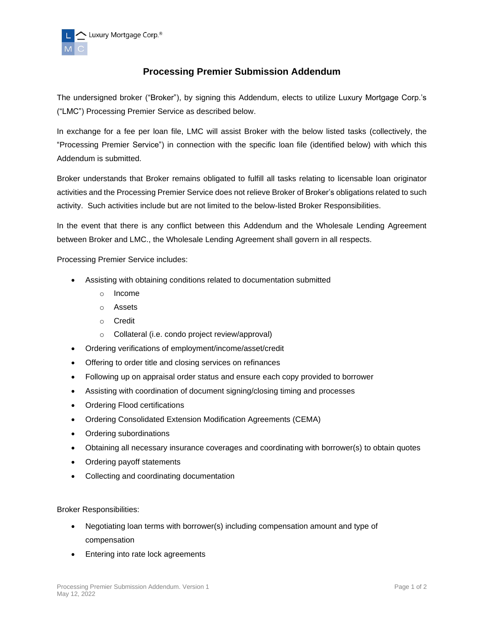

## **Processing Premier Submission Addendum**

The undersigned broker ("Broker"), by signing this Addendum, elects to utilize Luxury Mortgage Corp.'s ("LMC") Processing Premier Service as described below.

In exchange for a fee per loan file, LMC will assist Broker with the below listed tasks (collectively, the "Processing Premier Service") in connection with the specific loan file (identified below) with which this Addendum is submitted.

Broker understands that Broker remains obligated to fulfill all tasks relating to licensable loan originator activities and the Processing Premier Service does not relieve Broker of Broker's obligations related to such activity. Such activities include but are not limited to the below-listed Broker Responsibilities.

In the event that there is any conflict between this Addendum and the Wholesale Lending Agreement between Broker and LMC., the Wholesale Lending Agreement shall govern in all respects.

Processing Premier Service includes:

- Assisting with obtaining conditions related to documentation submitted
	- o Income
	- o Assets
	- o Credit
	- o Collateral (i.e. condo project review/approval)
- Ordering verifications of employment/income/asset/credit
- Offering to order title and closing services on refinances
- Following up on appraisal order status and ensure each copy provided to borrower
- Assisting with coordination of document signing/closing timing and processes
- Ordering Flood certifications
- Ordering Consolidated Extension Modification Agreements (CEMA)
- Ordering subordinations
- Obtaining all necessary insurance coverages and coordinating with borrower(s) to obtain quotes
- Ordering payoff statements
- Collecting and coordinating documentation

Broker Responsibilities:

- Negotiating loan terms with borrower(s) including compensation amount and type of compensation
- Entering into rate lock agreements